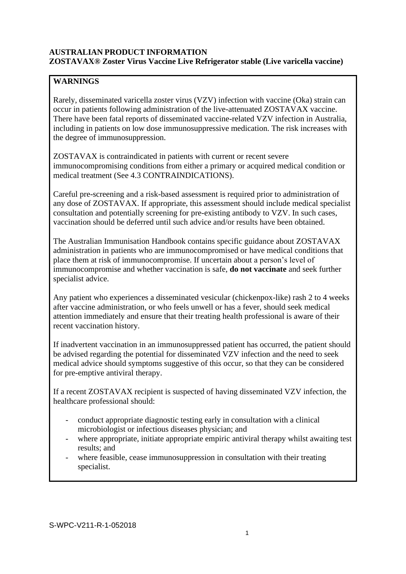# **AUSTRALIAN PRODUCT INFORMATION ZOSTAVAX® Zoster Virus Vaccine Live Refrigerator stable (Live varicella vaccine)**

## **WARNINGS**

Rarely, disseminated varicella zoster virus (VZV) infection with vaccine (Oka) strain can occur in patients following administration of the live-attenuated ZOSTAVAX vaccine. There have been fatal reports of disseminated vaccine-related VZV infection in Australia, including in patients on low dose immunosuppressive medication. The risk increases with the degree of immunosuppression.

ZOSTAVAX is contraindicated in patients with current or recent severe immunocompromising conditions from either a primary or acquired medical condition or medical treatment (See 4.3 CONTRAINDICATIONS).

Careful pre-screening and a risk-based assessment is required prior to administration of any dose of ZOSTAVAX. If appropriate, this assessment should include medical specialist consultation and potentially screening for pre-existing antibody to VZV. In such cases, vaccination should be deferred until such advice and/or results have been obtained.

The Australian Immunisation Handbook contains specific guidance about ZOSTAVAX administration in patients who are immunocompromised or have medical conditions that place them at risk of immunocompromise. If uncertain about a person's level of immunocompromise and whether vaccination is safe, **do not vaccinate** and seek further specialist advice.

Any patient who experiences a disseminated vesicular (chickenpox-like) rash 2 to 4 weeks after vaccine administration, or who feels unwell or has a fever, should seek medical attention immediately and ensure that their treating health professional is aware of their recent vaccination history.

If inadvertent vaccination in an immunosuppressed patient has occurred, the patient should be advised regarding the potential for disseminated VZV infection and the need to seek medical advice should symptoms suggestive of this occur, so that they can be considered for pre-emptive antiviral therapy.

If a recent ZOSTAVAX recipient is suspected of having disseminated VZV infection, the healthcare professional should:

- conduct appropriate diagnostic testing early in consultation with a clinical microbiologist or infectious diseases physician; and
- where appropriate, initiate appropriate empiric antiviral therapy whilst awaiting test results; and
- where feasible, cease immunosuppression in consultation with their treating specialist.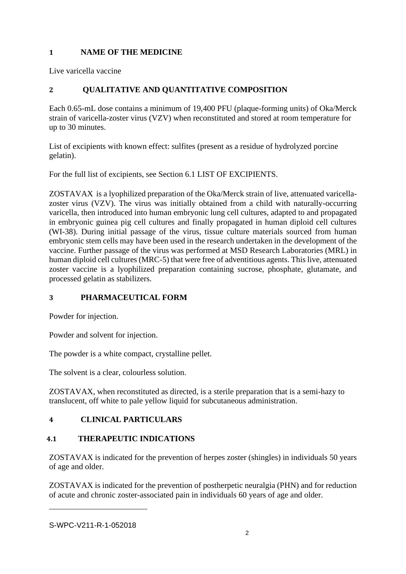## **1 NAME OF THE MEDICINE**

Live varicella vaccine

# **2 QUALITATIVE AND QUANTITATIVE COMPOSITION**

Each 0.65-mL dose contains a minimum of 19,400 PFU (plaque-forming units) of Oka/Merck strain of varicella-zoster virus (VZV) when reconstituted and stored at room temperature for up to 30 minutes.

List of excipients with known effect: sulfites (present as a residue of hydrolyzed porcine gelatin).

For the full list of excipients, see Section 6.1 LIST OF EXCIPIENTS.

ZOSTAVAX is a lyophilized preparation of the Oka/Merck strain of live, attenuated varicellazoster virus (VZV). The virus was initially obtained from a child with naturally-occurring varicella, then introduced into human embryonic lung cell cultures, adapted to and propagated in embryonic guinea pig cell cultures and finally propagated in human diploid cell cultures (WI-38). During initial passage of the virus, tissue culture materials sourced from human embryonic stem cells may have been used in the research undertaken in the development of the vaccine. Further passage of the virus was performed at MSD Research Laboratories (MRL) in human diploid cell cultures (MRC-5) that were free of adventitious agents. This live, attenuated zoster vaccine is a lyophilized preparation containing sucrose, phosphate, glutamate, and processed gelatin as stabilizers.

# **3 PHARMACEUTICAL FORM**

Powder for injection.

Powder and solvent for injection.

The powder is a white compact, crystalline pellet.

The solvent is a clear, colourless solution.

ZOSTAVAX, when reconstituted as directed, is a sterile preparation that is a semi-hazy to translucent, off white to pale yellow liquid for subcutaneous administration.

# **4 CLINICAL PARTICULARS**

# **4.1 THERAPEUTIC INDICATIONS**

ZOSTAVAX is indicated for the prevention of herpes zoster (shingles) in individuals 50 years of age and older.

ZOSTAVAX is indicated for the prevention of postherpetic neuralgia (PHN) and for reduction of acute and chronic zoster-associated pain in individuals 60 years of age and older.

S-WPC-V211-R-1-052018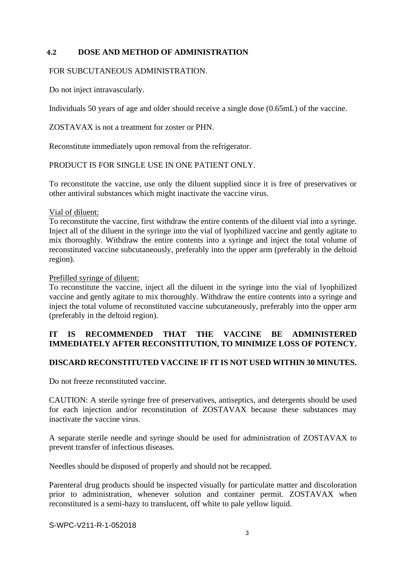### **4.2 DOSE AND METHOD OF ADMINISTRATION**

### FOR SUBCUTANEOUS ADMINISTRATION.

Do not inject intravascularly.

Individuals 50 years of age and older should receive a single dose (0.65mL) of the vaccine.

ZOSTAVAX is not a treatment for zoster or PHN.

Reconstitute immediately upon removal from the refrigerator.

PRODUCT IS FOR SINGLE USE IN ONE PATIENT ONLY.

To reconstitute the vaccine, use only the diluent supplied since it is free of preservatives or other antiviral substances which might inactivate the vaccine virus.

Vial of diluent:

To reconstitute the vaccine, first withdraw the entire contents of the diluent vial into a syringe. Inject all of the diluent in the syringe into the vial of lyophilized vaccine and gently agitate to mix thoroughly. Withdraw the entire contents into a syringe and inject the total volume of reconstituted vaccine subcutaneously, preferably into the upper arm (preferably in the deltoid region).

### Prefilled syringe of diluent:

To reconstitute the vaccine, inject all the diluent in the syringe into the vial of lyophilized vaccine and gently agitate to mix thoroughly. Withdraw the entire contents into a syringe and inject the total volume of reconstituted vaccine subcutaneously, preferably into the upper arm (preferably in the deltoid region).

## **IT IS RECOMMENDED THAT THE VACCINE BE ADMINISTERED IMMEDIATELY AFTER RECONSTITUTION, TO MINIMIZE LOSS OF POTENCY.**

## **DISCARD RECONSTITUTED VACCINE IF IT IS NOT USED WITHIN 30 MINUTES.**

Do not freeze reconstituted vaccine.

CAUTION: A sterile syringe free of preservatives, antiseptics, and detergents should be used for each injection and/or reconstitution of ZOSTAVAX because these substances may inactivate the vaccine virus.

A separate sterile needle and syringe should be used for administration of ZOSTAVAX to prevent transfer of infectious diseases.

Needles should be disposed of properly and should not be recapped.

Parenteral drug products should be inspected visually for particulate matter and discoloration prior to administration, whenever solution and container permit. ZOSTAVAX when reconstituted is a semi-hazy to translucent, off white to pale yellow liquid.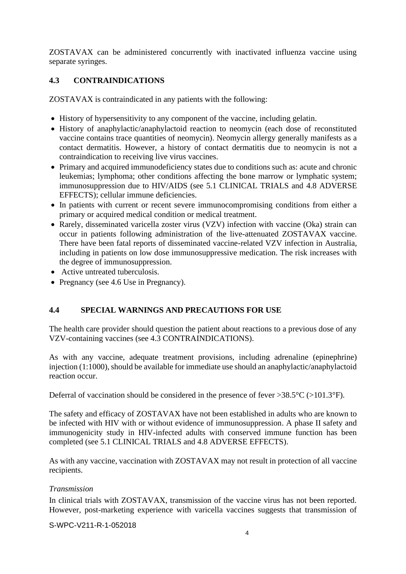ZOSTAVAX can be administered concurrently with inactivated influenza vaccine using separate syringes.

# **4.3 CONTRAINDICATIONS**

ZOSTAVAX is contraindicated in any patients with the following:

- History of hypersensitivity to any component of the vaccine, including gelatin.
- History of anaphylactic/anaphylactoid reaction to neomycin (each dose of reconstituted vaccine contains trace quantities of neomycin). Neomycin allergy generally manifests as a contact dermatitis. However, a history of contact dermatitis due to neomycin is not a contraindication to receiving live virus vaccines.
- Primary and acquired immunodeficiency states due to conditions such as: acute and chronic leukemias; lymphoma; other conditions affecting the bone marrow or lymphatic system; immunosuppression due to HIV/AIDS (see 5.1 CLINICAL TRIALS and 4.8 ADVERSE EFFECTS); cellular immune deficiencies.
- In patients with current or recent severe immunocompromising conditions from either a primary or acquired medical condition or medical treatment.
- Rarely, disseminated varicella zoster virus (VZV) infection with vaccine (Oka) strain can occur in patients following administration of the live-attenuated ZOSTAVAX vaccine. There have been fatal reports of disseminated vaccine-related VZV infection in Australia, including in patients on low dose immunosuppressive medication. The risk increases with the degree of immunosuppression.
- Active untreated tuberculosis.
- Pregnancy (see 4.6 Use in Pregnancy).

# **4.4 SPECIAL WARNINGS AND PRECAUTIONS FOR USE**

The health care provider should question the patient about reactions to a previous dose of any VZV-containing vaccines (see 4.3 CONTRAINDICATIONS).

As with any vaccine, adequate treatment provisions, including adrenaline (epinephrine) injection (1:1000), should be available for immediate use should an anaphylactic/anaphylactoid reaction occur.

Deferral of vaccination should be considered in the presence of fever >38.5°C (>101.3°F).

The safety and efficacy of ZOSTAVAX have not been established in adults who are known to be infected with HIV with or without evidence of immunosuppression. A phase II safety and immunogenicity study in HIV-infected adults with conserved immune function has been completed (see 5.1 CLINICAL TRIALS and 4.8 ADVERSE EFFECTS).

As with any vaccine, vaccination with ZOSTAVAX may not result in protection of all vaccine recipients.

## *Transmission*

In clinical trials with ZOSTAVAX, transmission of the vaccine virus has not been reported. However, post-marketing experience with varicella vaccines suggests that transmission of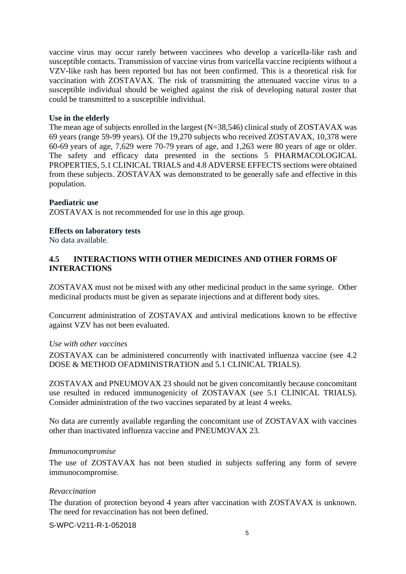vaccine virus may occur rarely between vaccinees who develop a varicella-like rash and susceptible contacts. Transmission of vaccine virus from varicella vaccine recipients without a VZV-like rash has been reported but has not been confirmed. This is a theoretical risk for vaccination with ZOSTAVAX. The risk of transmitting the attenuated vaccine virus to a susceptible individual should be weighed against the risk of developing natural zoster that could be transmitted to a susceptible individual.

#### **Use in the elderly**

The mean age of subjects enrolled in the largest (N=38,546) clinical study of ZOSTAVAX was 69 years (range 59-99 years). Of the 19,270 subjects who received ZOSTAVAX, 10,378 were 60-69 years of age, 7,629 were 70-79 years of age, and 1,263 were 80 years of age or older. The safety and efficacy data presented in the sections 5 PHARMACOLOGICAL PROPERTIES, 5.1 CLINICAL TRIALS and 4.8 ADVERSE EFFECTS sections were obtained from these subjects. ZOSTAVAX was demonstrated to be generally safe and effective in this population.

#### **Paediatric use**

ZOSTAVAX is not recommended for use in this age group.

#### **Effects on laboratory tests**

No data available.

### **4.5 INTERACTIONS WITH OTHER MEDICINES AND OTHER FORMS OF INTERACTIONS**

ZOSTAVAX must not be mixed with any other medicinal product in the same syringe. Other medicinal products must be given as separate injections and at different body sites.

Concurrent administration of ZOSTAVAX and antiviral medications known to be effective against VZV has not been evaluated.

#### *Use with other vaccines*

ZOSTAVAX can be administered concurrently with inactivated influenza vaccine (see 4.2 DOSE & METHOD OFADMINISTRATION and 5.1 CLINICAL TRIALS).

ZOSTAVAX and PNEUMOVAX 23 should not be given concomitantly because concomitant use resulted in reduced immunogenicity of ZOSTAVAX (see 5.1 CLINICAL TRIALS). Consider administration of the two vaccines separated by at least 4 weeks.

No data are currently available regarding the concomitant use of ZOSTAVAX with vaccines other than inactivated influenza vaccine and PNEUMOVAX 23.

#### *Immunocompromise*

The use of ZOSTAVAX has not been studied in subjects suffering any form of severe immunocompromise.

### *Revaccination*

The duration of protection beyond 4 years after vaccination with ZOSTAVAX is unknown. The need for revaccination has not been defined.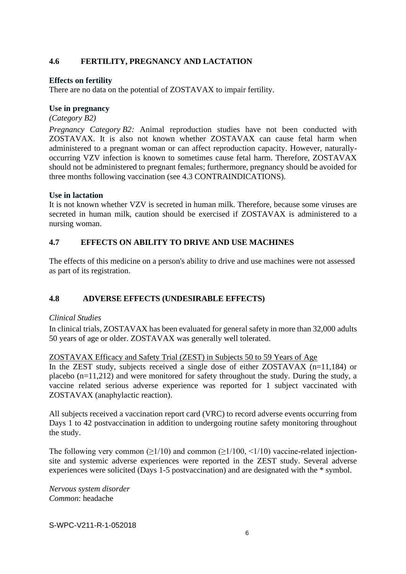## **4.6 FERTILITY, PREGNANCY AND LACTATION**

### **Effects on fertility**

There are no data on the potential of ZOSTAVAX to impair fertility.

### **Use in pregnancy**

### *(Category B2)*

*Pregnancy Category B2:* Animal reproduction studies have not been conducted with ZOSTAVAX. It is also not known whether ZOSTAVAX can cause fetal harm when administered to a pregnant woman or can affect reproduction capacity. However, naturallyoccurring VZV infection is known to sometimes cause fetal harm. Therefore, ZOSTAVAX should not be administered to pregnant females; furthermore, pregnancy should be avoided for three months following vaccination (see 4.3 CONTRAINDICATIONS).

### **Use in lactation**

It is not known whether VZV is secreted in human milk. Therefore, because some viruses are secreted in human milk, caution should be exercised if ZOSTAVAX is administered to a nursing woman.

## **4.7 EFFECTS ON ABILITY TO DRIVE AND USE MACHINES**

The effects of this medicine on a person's ability to drive and use machines were not assessed as part of its registration.

## **4.8 ADVERSE EFFECTS (UNDESIRABLE EFFECTS)**

### *Clinical Studies*

In clinical trials, ZOSTAVAX has been evaluated for general safety in more than 32,000 adults 50 years of age or older. ZOSTAVAX was generally well tolerated.

### ZOSTAVAX Efficacy and Safety Trial (ZEST) in Subjects 50 to 59 Years of Age

In the ZEST study, subjects received a single dose of either ZOSTAVAX (n=11,184) or placebo (n=11,212) and were monitored for safety throughout the study. During the study, a vaccine related serious adverse experience was reported for 1 subject vaccinated with ZOSTAVAX (anaphylactic reaction).

All subjects received a vaccination report card (VRC) to record adverse events occurring from Days 1 to 42 postvaccination in addition to undergoing routine safety monitoring throughout the study.

The following very common ( $>1/10$ ) and common ( $>1/100$ ,  $\lt 1/10$ ) vaccine-related injectionsite and systemic adverse experiences were reported in the ZEST study. Several adverse experiences were solicited (Days 1-5 postvaccination) and are designated with the \* symbol.

*Nervous system disorder Common*: headache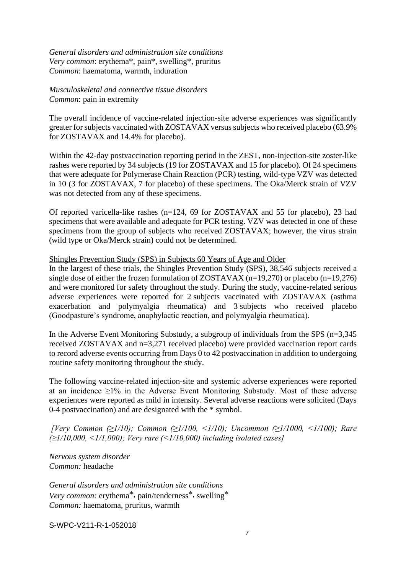*General disorders and administration site conditions Very common*: erythema\*, pain\*, swelling\*, pruritus *Common*: haematoma, warmth, induration

*Musculoskeletal and connective tissue disorders Common*: pain in extremity

The overall incidence of vaccine-related injection-site adverse experiences was significantly greater for subjects vaccinated with ZOSTAVAX versus subjects who received placebo (63.9% for ZOSTAVAX and 14.4% for placebo).

Within the 42-day postvaccination reporting period in the ZEST, non-injection-site zoster-like rashes were reported by 34 subjects (19 for ZOSTAVAX and 15 for placebo). Of 24 specimens that were adequate for Polymerase Chain Reaction (PCR) testing, wild-type VZV was detected in 10 (3 for ZOSTAVAX, 7 for placebo) of these specimens. The Oka/Merck strain of VZV was not detected from any of these specimens.

Of reported varicella-like rashes (n=124, 69 for ZOSTAVAX and 55 for placebo), 23 had specimens that were available and adequate for PCR testing. VZV was detected in one of these specimens from the group of subjects who received ZOSTAVAX; however, the virus strain (wild type or Oka/Merck strain) could not be determined.

Shingles Prevention Study (SPS) in Subjects 60 Years of Age and Older

In the largest of these trials, the Shingles Prevention Study (SPS), 38,546 subjects received a single dose of either the frozen formulation of ZOSTAVAX (n=19,270) or placebo (n=19,276) and were monitored for safety throughout the study. During the study, vaccine-related serious adverse experiences were reported for 2 subjects vaccinated with ZOSTAVAX (asthma exacerbation and polymyalgia rheumatica) and 3 subjects who received placebo (Goodpasture's syndrome, anaphylactic reaction, and polymyalgia rheumatica).

In the Adverse Event Monitoring Substudy, a subgroup of individuals from the SPS (n=3,345 received ZOSTAVAX and n=3,271 received placebo) were provided vaccination report cards to record adverse events occurring from Days 0 to 42 postvaccination in addition to undergoing routine safety monitoring throughout the study.

The following vaccine-related injection-site and systemic adverse experiences were reported at an incidence  $\geq$ 1% in the Adverse Event Monitoring Substudy. Most of these adverse experiences were reported as mild in intensity. Several adverse reactions were solicited (Days 0-4 postvaccination) and are designated with the \* symbol.

*[Very Common (≥1/10); Common (≥1/100, <1/10); Uncommon (≥1/1000, <1/100); Rare (≥1/10,000, <1/1,000); Very rare (<1/10,000) including isolated cases]*

*Nervous system disorder Common:* headache

*General disorders and administration site conditions Very common:* erythema\*, pain/tenderness\*, swelling\* *Common:* haematoma, pruritus, warmth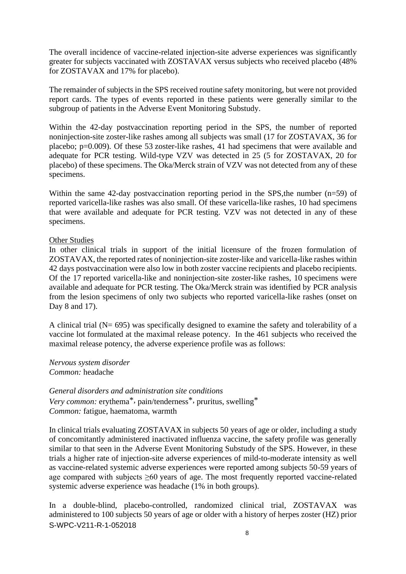The overall incidence of vaccine-related injection-site adverse experiences was significantly greater for subjects vaccinated with ZOSTAVAX versus subjects who received placebo (48% for ZOSTAVAX and 17% for placebo).

The remainder of subjects in the SPS received routine safety monitoring, but were not provided report cards. The types of events reported in these patients were generally similar to the subgroup of patients in the Adverse Event Monitoring Substudy.

Within the 42-day postvaccination reporting period in the SPS, the number of reported noninjection-site zoster-like rashes among all subjects was small (17 for ZOSTAVAX, 36 for placebo; p=0.009). Of these 53 zoster-like rashes, 41 had specimens that were available and adequate for PCR testing. Wild-type VZV was detected in 25 (5 for ZOSTAVAX, 20 for placebo) of these specimens. The Oka/Merck strain of VZV was not detected from any of these specimens.

Within the same 42-day postvaccination reporting period in the SPS, the number (n=59) of reported varicella-like rashes was also small. Of these varicella-like rashes, 10 had specimens that were available and adequate for PCR testing. VZV was not detected in any of these specimens.

### Other Studies

In other clinical trials in support of the initial licensure of the frozen formulation of ZOSTAVAX, the reported rates of noninjection-site zoster-like and varicella-like rashes within 42 days postvaccination were also low in both zoster vaccine recipients and placebo recipients. Of the 17 reported varicella-like and noninjection-site zoster-like rashes, 10 specimens were available and adequate for PCR testing. The Oka/Merck strain was identified by PCR analysis from the lesion specimens of only two subjects who reported varicella-like rashes (onset on Day 8 and 17).

A clinical trial (N= 695) was specifically designed to examine the safety and tolerability of a vaccine lot formulated at the maximal release potency. In the 461 subjects who received the maximal release potency, the adverse experience profile was as follows:

*Nervous system disorder Common:* headache

*General disorders and administration site conditions Very common:* erythema\*, pain/tenderness\*, pruritus, swelling\* *Common:* fatigue, haematoma, warmth

In clinical trials evaluating ZOSTAVAX in subjects 50 years of age or older, including a study of concomitantly administered inactivated influenza vaccine, the safety profile was generally similar to that seen in the Adverse Event Monitoring Substudy of the SPS. However, in these trials a higher rate of injection-site adverse experiences of mild-to-moderate intensity as well as vaccine-related systemic adverse experiences were reported among subjects 50-59 years of age compared with subjects ≥60 years of age. The most frequently reported vaccine-related systemic adverse experience was headache (1% in both groups).

S-WPC-V211-R-1-052018 In a double-blind, placebo-controlled, randomized clinical trial, ZOSTAVAX was administered to 100 subjects 50 years of age or older with a history of herpes zoster (HZ) prior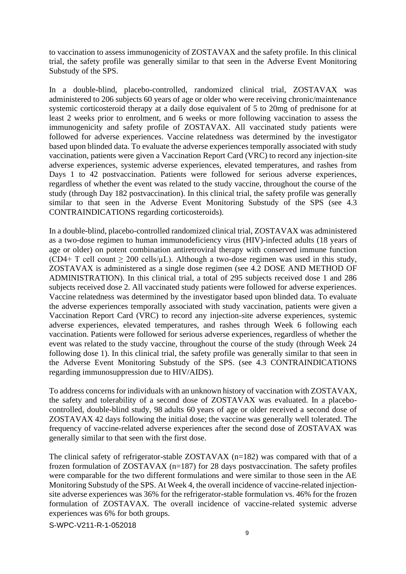to vaccination to assess immunogenicity of ZOSTAVAX and the safety profile. In this clinical trial, the safety profile was generally similar to that seen in the Adverse Event Monitoring Substudy of the SPS.

In a double-blind, placebo-controlled, randomized clinical trial, ZOSTAVAX was administered to 206 subjects 60 years of age or older who were receiving chronic/maintenance systemic corticosteroid therapy at a daily dose equivalent of 5 to 20mg of prednisone for at least 2 weeks prior to enrolment, and 6 weeks or more following vaccination to assess the immunogenicity and safety profile of ZOSTAVAX. All vaccinated study patients were followed for adverse experiences. Vaccine relatedness was determined by the investigator based upon blinded data. To evaluate the adverse experiences temporally associated with study vaccination, patients were given a Vaccination Report Card (VRC) to record any injection-site adverse experiences, systemic adverse experiences, elevated temperatures, and rashes from Days 1 to 42 postvaccination. Patients were followed for serious adverse experiences, regardless of whether the event was related to the study vaccine, throughout the course of the study (through Day 182 postvaccination). In this clinical trial, the safety profile was generally similar to that seen in the Adverse Event Monitoring Substudy of the SPS (see 4.3 CONTRAINDICATIONS regarding corticosteroids).

In a double-blind, placebo-controlled randomized clinical trial, ZOSTAVAX was administered as a two-dose regimen to human immunodeficiency virus (HIV)-infected adults (18 years of age or older) on potent combination antiretroviral therapy with conserved immune function (CD4+ T cell count  $\geq 200$  cells/ $\mu$ L). Although a two-dose regimen was used in this study, ZOSTAVAX is administered as a single dose regimen (see 4.2 DOSE AND METHOD OF ADMINISTRATION). In this clinical trial, a total of 295 subjects received dose 1 and 286 subjects received dose 2. All vaccinated study patients were followed for adverse experiences. Vaccine relatedness was determined by the investigator based upon blinded data. To evaluate the adverse experiences temporally associated with study vaccination, patients were given a Vaccination Report Card (VRC) to record any injection-site adverse experiences, systemic adverse experiences, elevated temperatures, and rashes through Week 6 following each vaccination. Patients were followed for serious adverse experiences, regardless of whether the event was related to the study vaccine, throughout the course of the study (through Week 24 following dose 1). In this clinical trial, the safety profile was generally similar to that seen in the Adverse Event Monitoring Substudy of the SPS. (see 4.3 CONTRAINDICATIONS regarding immunosuppression due to HIV/AIDS).

To address concerns for individuals with an unknown history of vaccination with ZOSTAVAX, the safety and tolerability of a second dose of ZOSTAVAX was evaluated. In a placebocontrolled, double-blind study, 98 adults 60 years of age or older received a second dose of ZOSTAVAX 42 days following the initial dose; the vaccine was generally well tolerated. The frequency of vaccine-related adverse experiences after the second dose of ZOSTAVAX was generally similar to that seen with the first dose.

The clinical safety of refrigerator-stable ZOSTAVAX (n=182) was compared with that of a frozen formulation of ZOSTAVAX (n=187) for 28 days postvaccination. The safety profiles were comparable for the two different formulations and were similar to those seen in the AE Monitoring Substudy of the SPS. At Week 4, the overall incidence of vaccine-related injectionsite adverse experiences was 36% for the refrigerator-stable formulation vs. 46% for the frozen formulation of ZOSTAVAX. The overall incidence of vaccine-related systemic adverse experiences was 6% for both groups.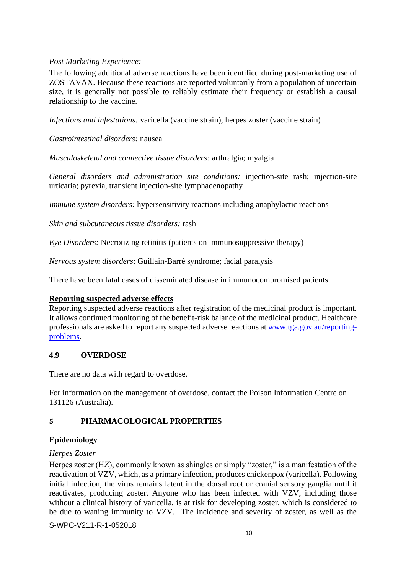## *Post Marketing Experience:*

The following additional adverse reactions have been identified during post-marketing use of ZOSTAVAX. Because these reactions are reported voluntarily from a population of uncertain size, it is generally not possible to reliably estimate their frequency or establish a causal relationship to the vaccine.

*Infections and infestations:* varicella (vaccine strain), herpes zoster (vaccine strain)

*Gastrointestinal disorders:* nausea

*Musculoskeletal and connective tissue disorders:* arthralgia; myalgia

*General disorders and administration site conditions:* injection-site rash; injection-site urticaria; pyrexia, transient injection-site lymphadenopathy

*Immune system disorders:* hypersensitivity reactions including anaphylactic reactions

*Skin and subcutaneous tissue disorders:* rash

*Eye Disorders:* Necrotizing retinitis (patients on immunosuppressive therapy)

*Nervous system disorders*: Guillain-Barré syndrome; facial paralysis

There have been fatal cases of disseminated disease in immunocompromised patients.

### **Reporting suspected adverse effects**

Reporting suspected adverse reactions after registration of the medicinal product is important. It allows continued monitoring of the benefit-risk balance of the medicinal product. Healthcare professionals are asked to report any suspected adverse reactions at [www.tga.gov.au/reporting](http://www.tga.gov.au/reporting-problems)[problems.](http://www.tga.gov.au/reporting-problems)

### **4.9 OVERDOSE**

There are no data with regard to overdose.

For information on the management of overdose, contact the Poison Information Centre on 131126 (Australia).

## **5 PHARMACOLOGICAL PROPERTIES**

## **Epidemiology**

### *Herpes Zoster*

Herpes zoster (HZ), commonly known as shingles or simply "zoster," is a manifestation of the reactivation of VZV, which, as a primary infection, produces chickenpox (varicella). Following initial infection, the virus remains latent in the dorsal root or cranial sensory ganglia until it reactivates, producing zoster. Anyone who has been infected with VZV, including those without a clinical history of varicella, is at risk for developing zoster, which is considered to be due to waning immunity to VZV. The incidence and severity of zoster, as well as the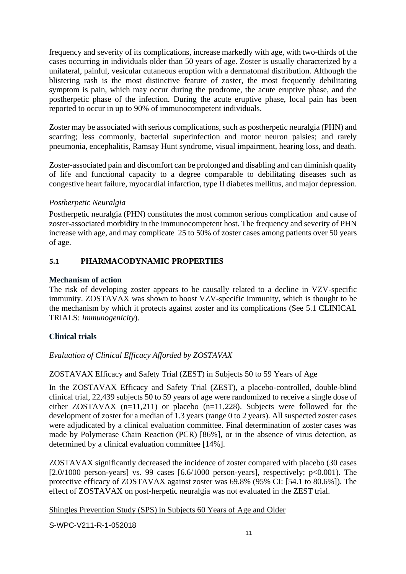frequency and severity of its complications, increase markedly with age, with two-thirds of the cases occurring in individuals older than 50 years of age. Zoster is usually characterized by a unilateral, painful, vesicular cutaneous eruption with a dermatomal distribution. Although the blistering rash is the most distinctive feature of zoster, the most frequently debilitating symptom is pain, which may occur during the prodrome, the acute eruptive phase, and the postherpetic phase of the infection. During the acute eruptive phase, local pain has been reported to occur in up to 90% of immunocompetent individuals.

Zoster may be associated with serious complications, such as postherpetic neuralgia (PHN) and scarring; less commonly, bacterial superinfection and motor neuron palsies; and rarely pneumonia, encephalitis, Ramsay Hunt syndrome, visual impairment, hearing loss, and death.

Zoster-associated pain and discomfort can be prolonged and disabling and can diminish quality of life and functional capacity to a degree comparable to debilitating diseases such as congestive heart failure, myocardial infarction, type II diabetes mellitus, and major depression.

## *Postherpetic Neuralgia*

Postherpetic neuralgia (PHN) constitutes the most common serious complication and cause of zoster-associated morbidity in the immunocompetent host. The frequency and severity of PHN increase with age, and may complicate 25 to 50% of zoster cases among patients over 50 years of age.

## **5.1 PHARMACODYNAMIC PROPERTIES**

## **Mechanism of action**

The risk of developing zoster appears to be causally related to a decline in VZV-specific immunity. ZOSTAVAX was shown to boost VZV-specific immunity, which is thought to be the mechanism by which it protects against zoster and its complications (See 5.1 CLINICAL TRIALS: *Immunogenicity*).

## **Clinical trials**

# *Evaluation of Clinical Efficacy Afforded by ZOSTAVAX*

## ZOSTAVAX Efficacy and Safety Trial (ZEST) in Subjects 50 to 59 Years of Age

In the ZOSTAVAX Efficacy and Safety Trial (ZEST), a placebo-controlled, double-blind clinical trial, 22,439 subjects 50 to 59 years of age were randomized to receive a single dose of either ZOSTAVAX  $(n=11,211)$  or placebo  $(n=11,228)$ . Subjects were followed for the development of zoster for a median of 1.3 years (range 0 to 2 years). All suspected zoster cases were adjudicated by a clinical evaluation committee. Final determination of zoster cases was made by Polymerase Chain Reaction (PCR) [86%], or in the absence of virus detection, as determined by a clinical evaluation committee [14%].

ZOSTAVAX significantly decreased the incidence of zoster compared with placebo (30 cases [ $2.0/1000$  person-years] vs. 99 cases [ $6.6/1000$  person-years], respectively;  $p<0.001$ ). The protective efficacy of ZOSTAVAX against zoster was 69.8% (95% CI: [54.1 to 80.6%]). The effect of ZOSTAVAX on post-herpetic neuralgia was not evaluated in the ZEST trial.

Shingles Prevention Study (SPS) in Subjects 60 Years of Age and Older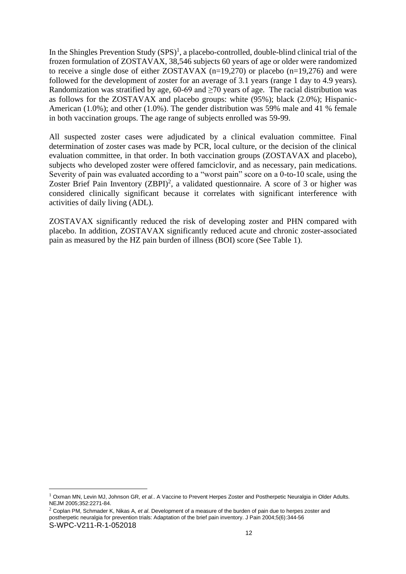In the Shingles Prevention Study  $(SPS)^1$ , a placebo-controlled, double-blind clinical trial of the frozen formulation of ZOSTAVAX, 38,546 subjects 60 years of age or older were randomized to receive a single dose of either ZOSTAVAX (n=19,270) or placebo (n=19,276) and were followed for the development of zoster for an average of 3.1 years (range 1 day to 4.9 years). Randomization was stratified by age,  $60-69$  and  $\geq 70$  years of age. The racial distribution was as follows for the ZOSTAVAX and placebo groups: white (95%); black (2.0%); Hispanic-American (1.0%); and other (1.0%). The gender distribution was 59% male and 41 % female in both vaccination groups. The age range of subjects enrolled was 59-99.

All suspected zoster cases were adjudicated by a clinical evaluation committee. Final determination of zoster cases was made by PCR, local culture, or the decision of the clinical evaluation committee, in that order. In both vaccination groups (ZOSTAVAX and placebo), subjects who developed zoster were offered famciclovir, and as necessary, pain medications. Severity of pain was evaluated according to a "worst pain" score on a 0-to-10 scale, using the Zoster Brief Pain Inventory  $(ZBPI)^2$ , a validated questionnaire. A score of 3 or higher was considered clinically significant because it correlates with significant interference with activities of daily living (ADL).

ZOSTAVAX significantly reduced the risk of developing zoster and PHN compared with placebo. In addition, ZOSTAVAX significantly reduced acute and chronic zoster-associated pain as measured by the HZ pain burden of illness (BOI) score (See Table 1).

<sup>1</sup> [Oxman MN,](http://www.ncbi.nlm.nih.gov/entrez/query.fcgi?db=pubmed&cmd=Search&itool=pubmed_Abstract&term=%22Oxman+MN%22%5BAuthor%5D) [Levin MJ,](http://www.ncbi.nlm.nih.gov/entrez/query.fcgi?db=pubmed&cmd=Search&itool=pubmed_Abstract&term=%22Levin+MJ%22%5BAuthor%5D) [Johnson GR,](http://www.ncbi.nlm.nih.gov/entrez/query.fcgi?db=pubmed&cmd=Search&itool=pubmed_Abstract&term=%22Johnson+GR%22%5BAuthor%5D) *et al*.. A Vaccine to Prevent Herpes Zoster and Postherpetic Neuralgia in Older Adults. NEJM 2005;352:2271-84.

S-WPC-V211-R-1-052018 <sup>2</sup> Coplan PM, Schmader K, Nikas A, *et al*. Development of a measure of the burden of pain due to herpes zoster and postherpetic neuralgia for prevention trials: Adaptation of the brief pain inventory. J Pain 2004;5(6):344-56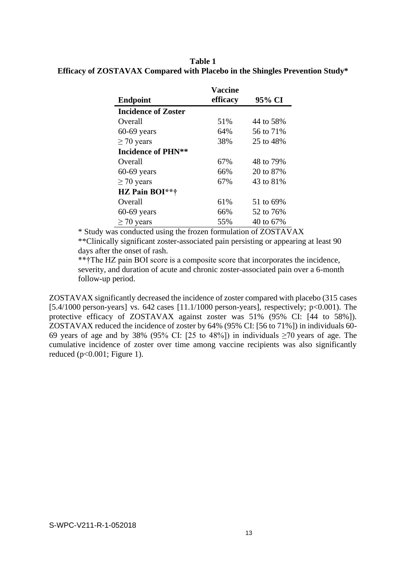### **Table 1 Efficacy of ZOSTAVAX Compared with Placebo in the Shingles Prevention Study\***

|                            | Vaccine  |           |
|----------------------------|----------|-----------|
| <b>Endpoint</b>            | efficacy | 95% CI    |
| <b>Incidence of Zoster</b> |          |           |
| Overall                    | 51%      | 44 to 58% |
| $60-69$ years              | 64%      | 56 to 71% |
| $\geq$ 70 years            | 38%      | 25 to 48% |
| <b>Incidence of PHN**</b>  |          |           |
| Overall                    | 67%      | 48 to 79% |
| $60-69$ years              | 66%      | 20 to 87% |
| $\geq$ 70 years            | 67%      | 43 to 81% |
| HZ Pain BOI**†             |          |           |
| Overall                    | 61%      | 51 to 69% |
| $60-69$ years              | 66%      | 52 to 76% |
| $\geq 70$ years            | 55%      | 40 to 67% |

\* Study was conducted using the frozen formulation of ZOSTAVAX \*\*Clinically significant zoster-associated pain persisting or appearing at least 90 days after the onset of rash.

\*\*†The HZ pain BOI score is a composite score that incorporates the incidence, severity, and duration of acute and chronic zoster-associated pain over a 6-month follow-up period.

ZOSTAVAX significantly decreased the incidence of zoster compared with placebo (315 cases [5.4/1000 person-years] vs. 642 cases [11.1/1000 person-years], respectively;  $p<0.001$ ). The protective efficacy of ZOSTAVAX against zoster was 51% (95% CI: [44 to 58%]). ZOSTAVAX reduced the incidence of zoster by 64% (95% CI: [56 to 71%]) in individuals 60- 69 years of age and by 38% (95% CI: [25 to 48%]) in individuals  $\geq$ 70 years of age. The cumulative incidence of zoster over time among vaccine recipients was also significantly reduced ( $p<0.001$ ; Figure 1).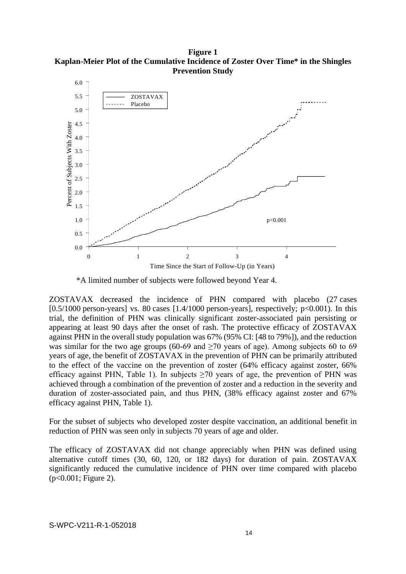**Figure 1 Kaplan-Meier Plot of the Cumulative Incidence of Zoster Over Time\* in the Shingles Prevention Study**



\*A limited number of subjects were followed beyond Year 4.

ZOSTAVAX decreased the incidence of PHN compared with placebo (27 cases  $[0.5/1000$  person-years] vs. 80 cases  $[1.4/1000$  person-years], respectively;  $p<0.001$ ). In this trial, the definition of PHN was clinically significant zoster-associated pain persisting or appearing at least 90 days after the onset of rash. The protective efficacy of ZOSTAVAX against PHN in the overall study population was 67% (95% CI: [48 to 79%]), and the reduction was similar for the two age groups (60-69 and  $\geq$ 70 years of age). Among subjects 60 to 69 years of age, the benefit of ZOSTAVAX in the prevention of PHN can be primarily attributed to the effect of the vaccine on the prevention of zoster (64% efficacy against zoster, 66% efficacy against PHN, Table 1). In subjects  $\geq 70$  years of age, the prevention of PHN was achieved through a combination of the prevention of zoster and a reduction in the severity and duration of zoster-associated pain, and thus PHN, (38% efficacy against zoster and 67% efficacy against PHN, Table 1).

For the subset of subjects who developed zoster despite vaccination, an additional benefit in reduction of PHN was seen only in subjects 70 years of age and older.

The efficacy of ZOSTAVAX did not change appreciably when PHN was defined using alternative cutoff times (30, 60, 120, or 182 days) for duration of pain. ZOSTAVAX significantly reduced the cumulative incidence of PHN over time compared with placebo (p<0.001; Figure 2).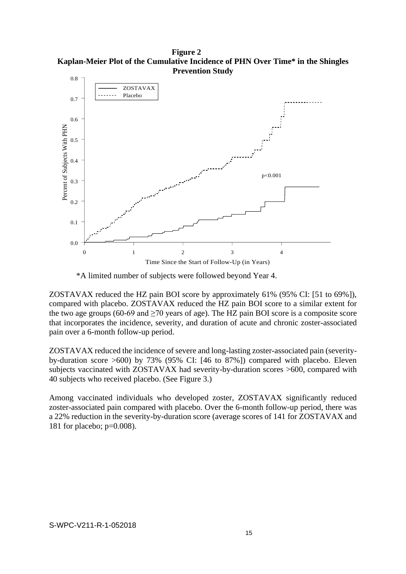**Figure 2 Kaplan-Meier Plot of the Cumulative Incidence of PHN Over Time\* in the Shingles Prevention Study**



\*A limited number of subjects were followed beyond Year 4.

ZOSTAVAX reduced the HZ pain BOI score by approximately 61% (95% CI: [51 to 69%]), compared with placebo. ZOSTAVAX reduced the HZ pain BOI score to a similar extent for the two age groups (60-69 and  $\geq$ 70 years of age). The HZ pain BOI score is a composite score that incorporates the incidence, severity, and duration of acute and chronic zoster-associated pain over a 6-month follow-up period.

ZOSTAVAX reduced the incidence of severe and long-lasting zoster-associated pain (severityby-duration score >600) by 73% (95% CI: [46 to 87%]) compared with placebo. Eleven subjects vaccinated with ZOSTAVAX had severity-by-duration scores >600, compared with 40 subjects who received placebo. (See Figure 3.)

Among vaccinated individuals who developed zoster, ZOSTAVAX significantly reduced zoster-associated pain compared with placebo. Over the 6-month follow-up period, there was a 22% reduction in the severity-by-duration score (average scores of 141 for ZOSTAVAX and 181 for placebo; p=0.008).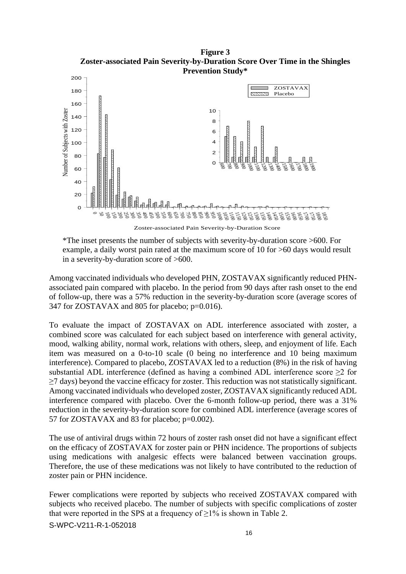**Figure 3 Zoster-associated Pain Severity-by-Duration Score Over Time in the Shingles Prevention Study\***



Zoster-associated Pain Severity-by-Duration Score

\*The inset presents the number of subjects with severity-by-duration score >600. For example, a daily worst pain rated at the maximum score of 10 for >60 days would result in a severity-by-duration score of >600.

Among vaccinated individuals who developed PHN, ZOSTAVAX significantly reduced PHNassociated pain compared with placebo. In the period from 90 days after rash onset to the end of follow-up, there was a 57% reduction in the severity-by-duration score (average scores of 347 for ZOSTAVAX and 805 for placebo; p=0.016).

To evaluate the impact of ZOSTAVAX on ADL interference associated with zoster, a combined score was calculated for each subject based on interference with general activity, mood, walking ability, normal work, relations with others, sleep, and enjoyment of life. Each item was measured on a 0-to-10 scale (0 being no interference and 10 being maximum interference). Compared to placebo, ZOSTAVAX led to a reduction (8%) in the risk of having substantial ADL interference (defined as having a combined ADL interference score  $\geq$ 2 for ≥7 days) beyond the vaccine efficacy for zoster. This reduction was not statistically significant. Among vaccinated individuals who developed zoster, ZOSTAVAX significantly reduced ADL interference compared with placebo. Over the 6-month follow-up period, there was a 31% reduction in the severity-by-duration score for combined ADL interference (average scores of 57 for ZOSTAVAX and 83 for placebo; p=0.002).

The use of antiviral drugs within 72 hours of zoster rash onset did not have a significant effect on the efficacy of ZOSTAVAX for zoster pain or PHN incidence. The proportions of subjects using medications with analgesic effects were balanced between vaccination groups. Therefore, the use of these medications was not likely to have contributed to the reduction of zoster pain or PHN incidence.

Fewer complications were reported by subjects who received ZOSTAVAX compared with subjects who received placebo. The number of subjects with specific complications of zoster that were reported in the SPS at a frequency of  $\geq$ 1% is shown in Table 2.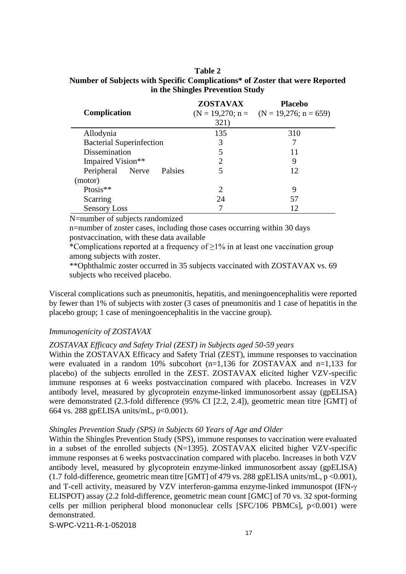### **Table 2 Number of Subjects with Specific Complications\* of Zoster that were Reported in the Shingles Prevention Study**

| Complication                    | <b>ZOSTAVAX</b> | <b>Placebo</b>                             |
|---------------------------------|-----------------|--------------------------------------------|
|                                 |                 | $(N = 19,270; n =$ $(N = 19,276; n = 659)$ |
|                                 | 321)            |                                            |
| Allodynia                       | 135             | 310                                        |
| <b>Bacterial Superinfection</b> | 3               |                                            |
| Dissemination                   | 5               | 11                                         |
| Impaired Vision**               | 2               | 9                                          |
| Peripheral Nerve<br>Palsies     | 5               | 12                                         |
| (motor)                         |                 |                                            |
| Ptosis**                        | 2               | 9                                          |
| Scarring                        | 24              | 57                                         |
| <b>Sensory Loss</b>             |                 | 12                                         |

N=number of subjects randomized

n=number of zoster cases, including those cases occurring within 30 days postvaccination, with these data available

\*Complications reported at a frequency of  $\geq$ 1% in at least one vaccination group among subjects with zoster.

\*\*Ophthalmic zoster occurred in 35 subjects vaccinated with ZOSTAVAX vs. 69 subjects who received placebo.

Visceral complications such as pneumonitis, hepatitis, and meningoencephalitis were reported by fewer than 1% of subjects with zoster (3 cases of pneumonitis and 1 case of hepatitis in the placebo group; 1 case of meningoencephalitis in the vaccine group).

### *Immunogenicity of ZOSTAVAX*

#### *ZOSTAVAX Efficacy and Safety Trial (ZEST) in Subjects aged 50-59 years*

Within the ZOSTAVAX Efficacy and Safety Trial (ZEST), immune responses to vaccination were evaluated in a random 10% subcohort  $(n=1,136$  for ZOSTAVAX and n=1,133 for placebo) of the subjects enrolled in the ZEST. ZOSTAVAX elicited higher VZV-specific immune responses at 6 weeks postvaccination compared with placebo. Increases in VZV antibody level, measured by glycoprotein enzyme-linked immunosorbent assay (gpELISA) were demonstrated (2.3-fold difference (95% CI [2.2, 2.4]), geometric mean titre [GMT] of 664 vs. 288 gpELISA units/mL, p<0.001).

#### *Shingles Prevention Study (SPS) in Subjects 60 Years of Age and Older*

Within the Shingles Prevention Study (SPS), immune responses to vaccination were evaluated in a subset of the enrolled subjects (N=1395). ZOSTAVAX elicited higher VZV-specific immune responses at 6 weeks postvaccination compared with placebo. Increases in both VZV antibody level, measured by glycoprotein enzyme-linked immunosorbent assay (gpELISA) (1.7 fold-difference, geometric mean titre [GMT] of 479 vs. 288 gpELISA units/mL, p <0.001), and T-cell activity, measured by VZV interferon-gamma enzyme-linked immunospot (IFN- ELISPOT) assay (2.2 fold-difference, geometric mean count [GMC] of 70 vs. 32 spot-forming cells per million peripheral blood mononuclear cells [SFC/106 PBMCs],  $p<0.001$ ) were demonstrated.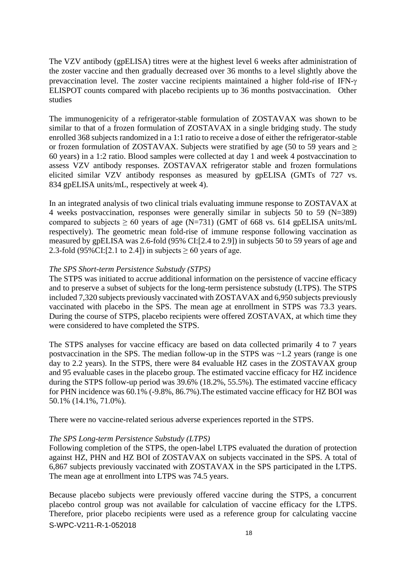The VZV antibody (gpELISA) titres were at the highest level 6 weeks after administration of the zoster vaccine and then gradually decreased over 36 months to a level slightly above the prevaccination level. The zoster vaccine recipients maintained a higher fold-rise of IFN- ELISPOT counts compared with placebo recipients up to 36 months postvaccination. Other studies

The immunogenicity of a refrigerator-stable formulation of ZOSTAVAX was shown to be similar to that of a frozen formulation of ZOSTAVAX in a single bridging study. The study enrolled 368 subjects randomized in a 1:1 ratio to receive a dose of either the refrigerator-stable or frozen formulation of ZOSTAVAX. Subjects were stratified by age (50 to 59 years and  $\geq$ 60 years) in a 1:2 ratio. Blood samples were collected at day 1 and week 4 postvaccination to assess VZV antibody responses. ZOSTAVAX refrigerator stable and frozen formulations elicited similar VZV antibody responses as measured by gpELISA (GMTs of 727 vs. 834 gpELISA units/mL, respectively at week 4).

In an integrated analysis of two clinical trials evaluating immune response to ZOSTAVAX at 4 weeks postvaccination, responses were generally similar in subjects 50 to 59 (N=389) compared to subjects  $\geq 60$  years of age (N=731) (GMT of 668 vs. 614 gpELISA units/mL respectively). The geometric mean fold-rise of immune response following vaccination as measured by gpELISA was 2.6-fold (95% CI:[2.4 to 2.9]) in subjects 50 to 59 years of age and 2.3-fold (95%CI:[2.1 to 2.4]) in subjects  $\geq 60$  years of age.

### *The SPS Short-term Persistence Substudy (STPS)*

The STPS was initiated to accrue additional information on the persistence of vaccine efficacy and to preserve a subset of subjects for the long-term persistence substudy (LTPS). The STPS included 7,320 subjects previously vaccinated with ZOSTAVAX and 6,950 subjects previously vaccinated with placebo in the SPS. The mean age at enrollment in STPS was 73.3 years. During the course of STPS, placebo recipients were offered ZOSTAVAX, at which time they were considered to have completed the STPS.

The STPS analyses for vaccine efficacy are based on data collected primarily 4 to 7 years postvaccination in the SPS. The median follow-up in the STPS was ~1.2 years (range is one day to 2.2 years). In the STPS, there were 84 evaluable HZ cases in the ZOSTAVAX group and 95 evaluable cases in the placebo group. The estimated vaccine efficacy for HZ incidence during the STPS follow-up period was 39.6% (18.2%, 55.5%). The estimated vaccine efficacy for PHN incidence was 60.1% (-9.8%, 86.7%).The estimated vaccine efficacy for HZ BOI was 50.1% (14.1%, 71.0%).

There were no vaccine-related serious adverse experiences reported in the STPS.

### *The SPS Long-term Persistence Substudy (LTPS)*

Following completion of the STPS, the open-label LTPS evaluated the duration of protection against HZ, PHN and HZ BOI of ZOSTAVAX on subjects vaccinated in the SPS. A total of 6,867 subjects previously vaccinated with ZOSTAVAX in the SPS participated in the LTPS. The mean age at enrollment into LTPS was 74.5 years.

S-WPC-V211-R-1-052018 Because placebo subjects were previously offered vaccine during the STPS, a concurrent placebo control group was not available for calculation of vaccine efficacy for the LTPS. Therefore, prior placebo recipients were used as a reference group for calculating vaccine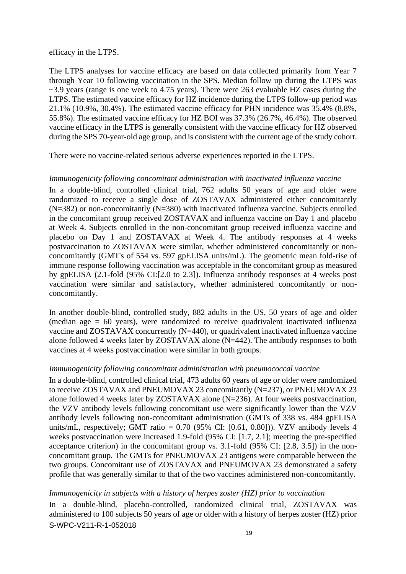efficacy in the LTPS.

The LTPS analyses for vaccine efficacy are based on data collected primarily from Year 7 through Year 10 following vaccination in the SPS. Median follow up during the LTPS was ~3.9 years (range is one week to 4.75 years). There were 263 evaluable HZ cases during the LTPS. The estimated vaccine efficacy for HZ incidence during the LTPS follow-up period was 21.1% (10.9%, 30.4%). The estimated vaccine efficacy for PHN incidence was 35.4% (8.8%, 55.8%). The estimated vaccine efficacy for HZ BOI was 37.3% (26.7%, 46.4%). The observed vaccine efficacy in the LTPS is generally consistent with the vaccine efficacy for HZ observed during the SPS 70-year-old age group, and is consistent with the current age of the study cohort.

There were no vaccine-related serious adverse experiences reported in the LTPS.

### *Immunogenicity following concomitant administration with inactivated influenza vaccine*

In a double-blind, controlled clinical trial, 762 adults 50 years of age and older were randomized to receive a single dose of ZOSTAVAX administered either concomitantly (N=382) or non-concomitantly (N=380) with inactivated influenza vaccine. Subjects enrolled in the concomitant group received ZOSTAVAX and influenza vaccine on Day 1 and placebo at Week 4. Subjects enrolled in the non-concomitant group received influenza vaccine and placebo on Day 1 and ZOSTAVAX at Week 4. The antibody responses at 4 weeks postvaccination to ZOSTAVAX were similar, whether administered concomitantly or nonconcomitantly (GMT's of 554 vs. 597 gpELISA units/mL). The geometric mean fold-rise of immune response following vaccination was acceptable in the concomitant group as measured by gpELISA (2.1-fold (95% CI:[2.0 to 2.3]). Influenza antibody responses at 4 weeks post vaccination were similar and satisfactory, whether administered concomitantly or nonconcomitantly.

In another double-blind, controlled study, 882 adults in the US, 50 years of age and older (median age  $= 60$  years), were randomized to receive quadrivalent inactivated influenza vaccine and ZOSTAVAX concurrently (N=440), or quadrivalent inactivated influenza vaccine alone followed 4 weeks later by ZOSTAVAX alone (N=442). The antibody responses to both vaccines at 4 weeks postvaccination were similar in both groups.

### *Immunogenicity following concomitant administration with pneumococcal vaccine*

In a double-blind, controlled clinical trial, 473 adults 60 years of age or older were randomized to receive ZOSTAVAX and PNEUMOVAX 23 concomitantly (N=237), or PNEUMOVAX 23 alone followed 4 weeks later by ZOSTAVAX alone (N=236). At four weeks postvaccination, the VZV antibody levels following concomitant use were significantly lower than the VZV antibody levels following non-concomitant administration (GMTs of 338 vs. 484 gpELISA units/mL, respectively; GMT ratio =  $0.70$  (95% CI: [0.61, 0.80])). VZV antibody levels 4 weeks postvaccination were increased 1.9-fold (95% CI: [1.7, 2.1]; meeting the pre-specified acceptance criterion) in the concomitant group vs. 3.1-fold (95% CI: [2.8, 3.5]) in the nonconcomitant group. The GMTs for PNEUMOVAX 23 antigens were comparable between the two groups. Concomitant use of ZOSTAVAX and PNEUMOVAX 23 demonstrated a safety profile that was generally similar to that of the two vaccines administered non-concomitantly.

### *Immunogenicity in subjects with a history of herpes zoster (HZ) prior to vaccination*

S-WPC-V211-R-1-052018 In a double-blind, placebo-controlled, randomized clinical trial, ZOSTAVAX was administered to 100 subjects 50 years of age or older with a history of herpes zoster (HZ) prior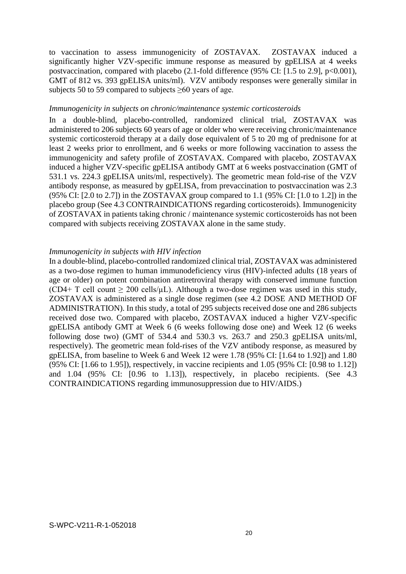to vaccination to assess immunogenicity of ZOSTAVAX. ZOSTAVAX induced a significantly higher VZV-specific immune response as measured by gpELISA at 4 weeks postvaccination, compared with placebo  $(2.1\text{-}fold$  difference  $(95\% \text{ CI: } [1.5 \text{ to } 2.9], p<0.001)$ , GMT of 812 vs. 393 gpELISA units/ml). VZV antibody responses were generally similar in subjects 50 to 59 compared to subjects  $\geq 60$  years of age.

#### *Immunogenicity in subjects on chronic/maintenance systemic corticosteroids*

In a double-blind, placebo-controlled, randomized clinical trial, ZOSTAVAX was administered to 206 subjects 60 years of age or older who were receiving chronic/maintenance systemic corticosteroid therapy at a daily dose equivalent of 5 to 20 mg of prednisone for at least 2 weeks prior to enrollment, and 6 weeks or more following vaccination to assess the immunogenicity and safety profile of ZOSTAVAX. Compared with placebo, ZOSTAVAX induced a higher VZV-specific gpELISA antibody GMT at 6 weeks postvaccination (GMT of 531.1 vs. 224.3 gpELISA units/ml, respectively). The geometric mean fold-rise of the VZV antibody response, as measured by gpELISA, from prevaccination to postvaccination was 2.3 (95% CI: [2.0 to 2.7]) in the ZOSTAVAX group compared to 1.1 (95% CI: [1.0 to 1.2]) in the placebo group (See 4.3 CONTRAINDICATIONS regarding corticosteroids). Immunogenicity of ZOSTAVAX in patients taking chronic / maintenance systemic corticosteroids has not been compared with subjects receiving ZOSTAVAX alone in the same study.

### *Immunogenicity in subjects with HIV infection*

In a double-blind, placebo-controlled randomized clinical trial, ZOSTAVAX was administered as a two-dose regimen to human immunodeficiency virus (HIV)-infected adults (18 years of age or older) on potent combination antiretroviral therapy with conserved immune function (CD4+ T cell count  $\geq 200$  cells/ $\mu$ L). Although a two-dose regimen was used in this study, ZOSTAVAX is administered as a single dose regimen (see 4.2 DOSE AND METHOD OF ADMINISTRATION). In this study, a total of 295 subjects received dose one and 286 subjects received dose two. Compared with placebo, ZOSTAVAX induced a higher VZV-specific gpELISA antibody GMT at Week 6 (6 weeks following dose one) and Week 12 (6 weeks following dose two) (GMT of 534.4 and 530.3 vs. 263.7 and 250.3 gpELISA units/ml, respectively). The geometric mean fold-rises of the VZV antibody response, as measured by gpELISA, from baseline to Week 6 and Week 12 were 1.78 (95% CI: [1.64 to 1.92]) and 1.80 (95% CI: [1.66 to 1.95]), respectively, in vaccine recipients and 1.05 (95% CI: [0.98 to 1.12]) and 1.04 (95% CI: [0.96 to 1.13]), respectively, in placebo recipients. (See 4.3 CONTRAINDICATIONS regarding immunosuppression due to HIV/AIDS.)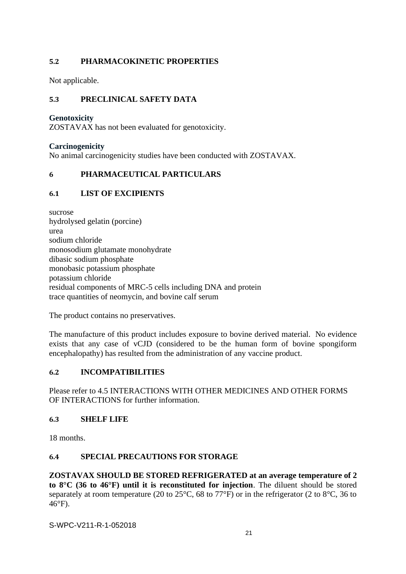## **5.2 PHARMACOKINETIC PROPERTIES**

Not applicable.

## **5.3 PRECLINICAL SAFETY DATA**

### **Genotoxicity**

ZOSTAVAX has not been evaluated for genotoxicity.

### **Carcinogenicity**

No animal carcinogenicity studies have been conducted with ZOSTAVAX.

## **6 PHARMACEUTICAL PARTICULARS**

## **6.1 LIST OF EXCIPIENTS**

sucrose hydrolysed gelatin (porcine) urea sodium chloride monosodium glutamate monohydrate dibasic sodium phosphate monobasic potassium phosphate potassium chloride residual components of MRC-5 cells including DNA and protein trace quantities of neomycin, and bovine calf serum

The product contains no preservatives.

The manufacture of this product includes exposure to bovine derived material. No evidence exists that any case of vCJD (considered to be the human form of bovine spongiform encephalopathy) has resulted from the administration of any vaccine product.

## **6.2 INCOMPATIBILITIES**

Please refer to 4.5 INTERACTIONS WITH OTHER MEDICINES AND OTHER FORMS OF INTERACTIONS for further information.

## **6.3 SHELF LIFE**

18 months.

## **6.4 SPECIAL PRECAUTIONS FOR STORAGE**

**ZOSTAVAX SHOULD BE STORED REFRIGERATED at an average temperature of 2 to 8°C (36 to 46°F) until it is reconstituted for injection**. The diluent should be stored separately at room temperature (20 to 25°C, 68 to 77°F) or in the refrigerator (2 to 8°C, 36 to 46°F).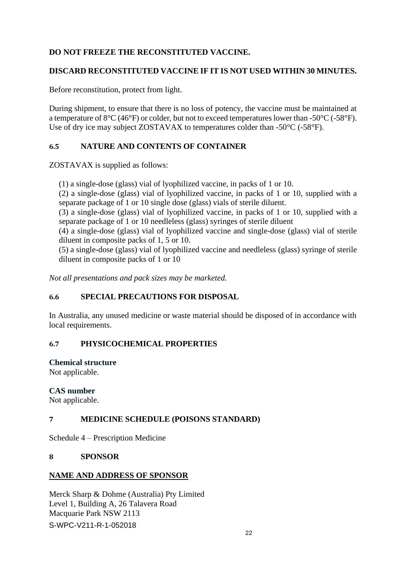## **DO NOT FREEZE THE RECONSTITUTED VACCINE.**

## **DISCARD RECONSTITUTED VACCINE IF IT IS NOT USED WITHIN 30 MINUTES.**

Before reconstitution, protect from light.

During shipment, to ensure that there is no loss of potency, the vaccine must be maintained at a temperature of 8°C (46°F) or colder, but not to exceed temperatures lower than -50°C (-58°F). Use of dry ice may subject ZOSTAVAX to temperatures colder than -50°C (-58°F).

## **6.5 NATURE AND CONTENTS OF CONTAINER**

ZOSTAVAX is supplied as follows:

(1) a single-dose (glass) vial of lyophilized vaccine, in packs of 1 or 10.

(2) a single-dose (glass) vial of lyophilized vaccine, in packs of 1 or 10, supplied with a separate package of 1 or 10 single dose (glass) vials of sterile diluent.

(3) a single-dose (glass) vial of lyophilized vaccine, in packs of 1 or 10, supplied with a separate package of 1 or 10 needleless (glass) syringes of sterile diluent

(4) a single-dose (glass) vial of lyophilized vaccine and single-dose (glass) vial of sterile diluent in composite packs of 1, 5 or 10.

(5) a single-dose (glass) vial of lyophilized vaccine and needleless (glass) syringe of sterile diluent in composite packs of 1 or 10

*Not all presentations and pack sizes may be marketed.*

# **6.6 SPECIAL PRECAUTIONS FOR DISPOSAL**

In Australia, any unused medicine or waste material should be disposed of in accordance with local requirements.

# **6.7 PHYSICOCHEMICAL PROPERTIES**

### **Chemical structure**

Not applicable.

## **CAS number**

Not applicable.

## **7 MEDICINE SCHEDULE (POISONS STANDARD)**

Schedule 4 – Prescription Medicine

## **8 SPONSOR**

## **NAME AND ADDRESS OF SPONSOR**

S-WPC-V211-R-1-052018 Merck Sharp & Dohme (Australia) Pty Limited Level 1, Building A, 26 Talavera Road Macquarie Park NSW 2113